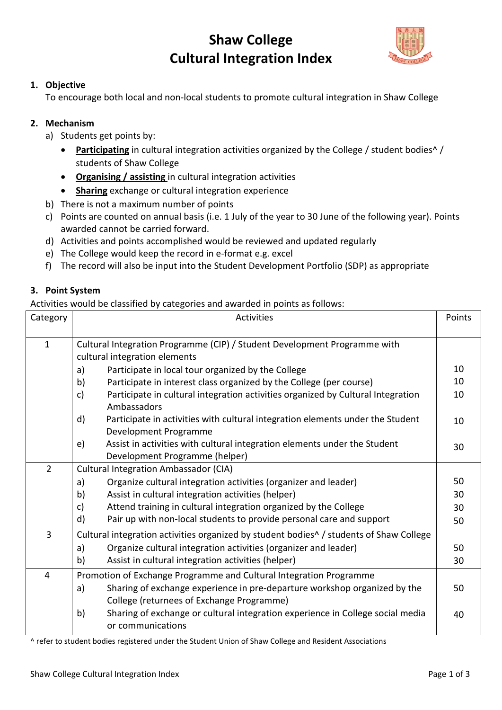# **Shaw College Cultural Integration Index**



#### **1. Objective**

To encourage both local and non-local students to promote cultural integration in Shaw College

## **2. Mechanism**

- a) Students get points by:
	- **Participating** in cultural integration activities organized by the College / student bodies^ / students of Shaw College
	- **Organising / assisting** in cultural integration activities
	- **Sharing** exchange or cultural integration experience
- b) There is not a maximum number of points
- c) Points are counted on annual basis (i.e. 1 July of the year to 30 June of the following year). Points awarded cannot be carried forward.
- d) Activities and points accomplished would be reviewed and updated regularly
- e) The College would keep the record in e-format e.g. excel
- f) The record will also be input into the Student Development Portfolio (SDP) as appropriate

### **3. Point System**

Activities would be classified by categories and awarded in points as follows:

| Category       | Activities                                                                                                        | Points |  |
|----------------|-------------------------------------------------------------------------------------------------------------------|--------|--|
| 1              | Cultural Integration Programme (CIP) / Student Development Programme with<br>cultural integration elements        |        |  |
|                | Participate in local tour organized by the College<br>a)                                                          | 10     |  |
|                | b)<br>Participate in interest class organized by the College (per course)                                         | 10     |  |
|                | Participate in cultural integration activities organized by Cultural Integration<br>c)<br>Ambassadors             | 10     |  |
|                | d)<br>Participate in activities with cultural integration elements under the Student<br>Development Programme     | 10     |  |
|                | Assist in activities with cultural integration elements under the Student<br>e)<br>Development Programme (helper) | 30     |  |
| $\overline{2}$ | <b>Cultural Integration Ambassador (CIA)</b>                                                                      |        |  |
|                | Organize cultural integration activities (organizer and leader)<br>a)                                             | 50     |  |
|                | Assist in cultural integration activities (helper)<br>b)                                                          | 30     |  |
|                | Attend training in cultural integration organized by the College<br>c)                                            | 30     |  |
|                | d)<br>Pair up with non-local students to provide personal care and support                                        | 50     |  |
| 3              | Cultural integration activities organized by student bodies <sup>^</sup> / students of Shaw College               |        |  |
|                | Organize cultural integration activities (organizer and leader)<br>a)                                             | 50     |  |
|                | Assist in cultural integration activities (helper)<br>b)                                                          | 30     |  |
| 4              | Promotion of Exchange Programme and Cultural Integration Programme                                                |        |  |
|                | Sharing of exchange experience in pre-departure workshop organized by the<br>a)                                   | 50     |  |
|                | College (returnees of Exchange Programme)                                                                         |        |  |
|                | Sharing of exchange or cultural integration experience in College social media<br>b)<br>or communications         | 40     |  |

^ refer to student bodies registered under the Student Union of Shaw College and Resident Associations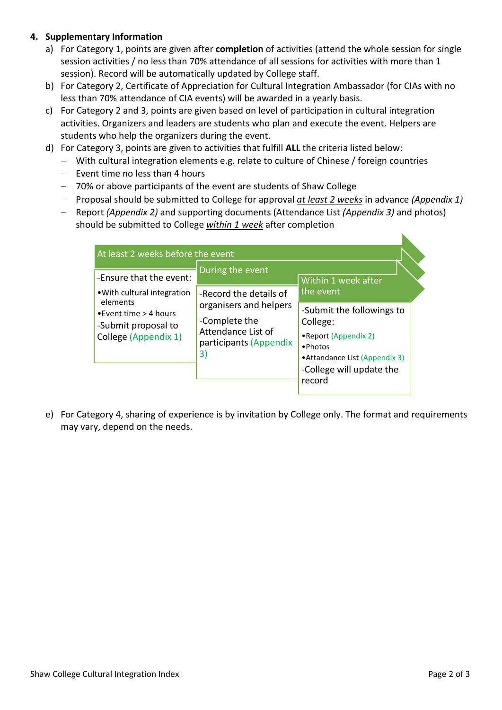#### **4. Supplementary Information**

- a) For Category 1, points are given after **completion** of activities (attend the whole session for single session activities / no less than 70% attendance of all sessions for activities with more than 1 session). Record will be automatically updated by College staff.
- b) For Category 2, Certificate of Appreciation for Cultural Integration Ambassador (for CIAs with no less than 70% attendance of CIA events) will be awarded in a yearly basis.
- c) For Category 2 and 3, points are given based on level of participation in cultural integration activities. Organizers and leaders are students who plan and execute the event. Helpers are students who help the organizers during the event.
- d) For Category 3, points are given to activities that fulfill **ALL** the criteria listed below:
	- − With cultural integration elements e.g. relate to culture of Chinese / foreign countries
	- − Event time no less than 4 hours
	- − 70% or above participants of the event are students of Shaw College
	- − Proposal should be submitted to College for approval *at least 2 weeks* in advance *(Appendix 1)*
	- − Report *(Appendix 2)* and supporting documents (Attendance List *(Appendix 3)* and photos) should be submitted to College *within 1 week* after completion

| At least 2 weeks before the event                                                                                        |                                                                                                                                             |                                                                                                                                                    |
|--------------------------------------------------------------------------------------------------------------------------|---------------------------------------------------------------------------------------------------------------------------------------------|----------------------------------------------------------------------------------------------------------------------------------------------------|
| -Ensure that the event:                                                                                                  | During the event<br>-Record the details of<br>organisers and helpers<br>-Complete the<br>Attendance List of<br>participants (Appendix<br>3) | Within 1 week after<br>the event                                                                                                                   |
| . With cultural integration<br>elements<br>$\bullet$ Event time > 4 hours<br>-Submit proposal to<br>College (Appendix 1) |                                                                                                                                             | -Submit the followings to<br>College:<br>• Report (Appendix 2)<br>• Photos<br>• Attandance List (Appendix 3)<br>-College will update the<br>record |

e) For Category 4, sharing of experience is by invitation by College only. The format and requirements may vary, depend on the needs.

 $\blacktriangleright$